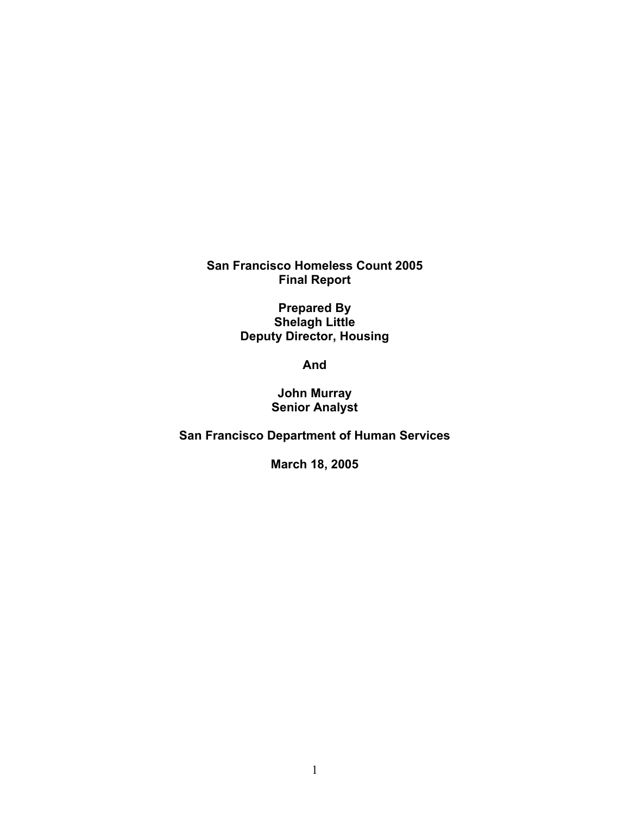**San Francisco Homeless Count 2005 Final Report** 

> **Prepared By Shelagh Little Deputy Director, Housing**

> > **And**

**John Murray Senior Analyst** 

**San Francisco Department of Human Services** 

**March 18, 2005**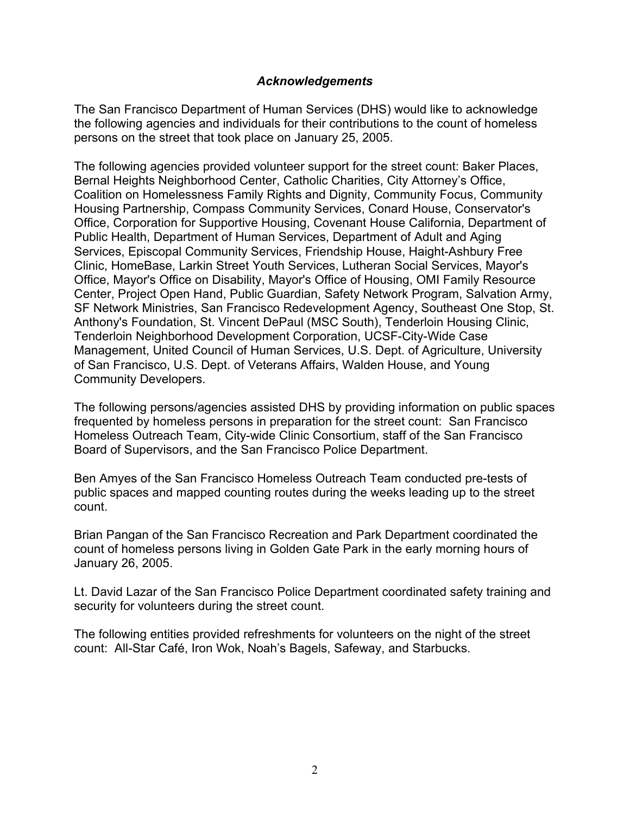### *Acknowledgements*

The San Francisco Department of Human Services (DHS) would like to acknowledge the following agencies and individuals for their contributions to the count of homeless persons on the street that took place on January 25, 2005.

The following agencies provided volunteer support for the street count: Baker Places, Bernal Heights Neighborhood Center, Catholic Charities, City Attorney's Office, Coalition on Homelessness Family Rights and Dignity, Community Focus, Community Housing Partnership, Compass Community Services, Conard House, Conservator's Office, Corporation for Supportive Housing, Covenant House California, Department of Public Health, Department of Human Services, Department of Adult and Aging Services, Episcopal Community Services, Friendship House, Haight-Ashbury Free Clinic, HomeBase, Larkin Street Youth Services, Lutheran Social Services, Mayor's Office, Mayor's Office on Disability, Mayor's Office of Housing, OMI Family Resource Center, Project Open Hand, Public Guardian, Safety Network Program, Salvation Army, SF Network Ministries, San Francisco Redevelopment Agency, Southeast One Stop, St. Anthony's Foundation, St. Vincent DePaul (MSC South), Tenderloin Housing Clinic, Tenderloin Neighborhood Development Corporation, UCSF-City-Wide Case Management, United Council of Human Services, U.S. Dept. of Agriculture, University of San Francisco, U.S. Dept. of Veterans Affairs, Walden House, and Young Community Developers.

The following persons/agencies assisted DHS by providing information on public spaces frequented by homeless persons in preparation for the street count: San Francisco Homeless Outreach Team, City-wide Clinic Consortium, staff of the San Francisco Board of Supervisors, and the San Francisco Police Department.

Ben Amyes of the San Francisco Homeless Outreach Team conducted pre-tests of public spaces and mapped counting routes during the weeks leading up to the street count.

Brian Pangan of the San Francisco Recreation and Park Department coordinated the count of homeless persons living in Golden Gate Park in the early morning hours of January 26, 2005.

Lt. David Lazar of the San Francisco Police Department coordinated safety training and security for volunteers during the street count.

The following entities provided refreshments for volunteers on the night of the street count: All-Star Café, Iron Wok, Noah's Bagels, Safeway, and Starbucks.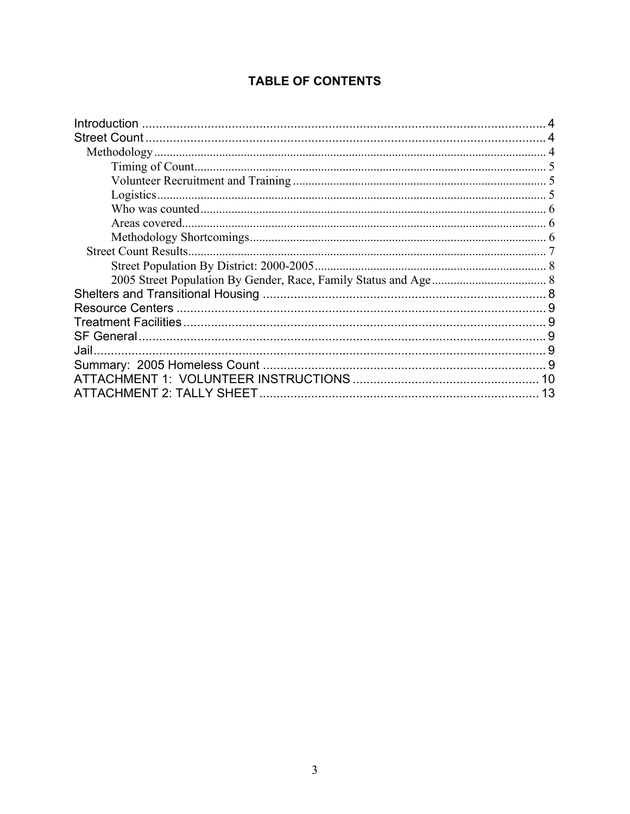# **TABLE OF CONTENTS**

| <b>Street Count Results.</b> |    |
|------------------------------|----|
|                              |    |
|                              |    |
|                              |    |
|                              |    |
|                              |    |
|                              |    |
| Jail.                        |    |
|                              |    |
| 10                           |    |
|                              | 13 |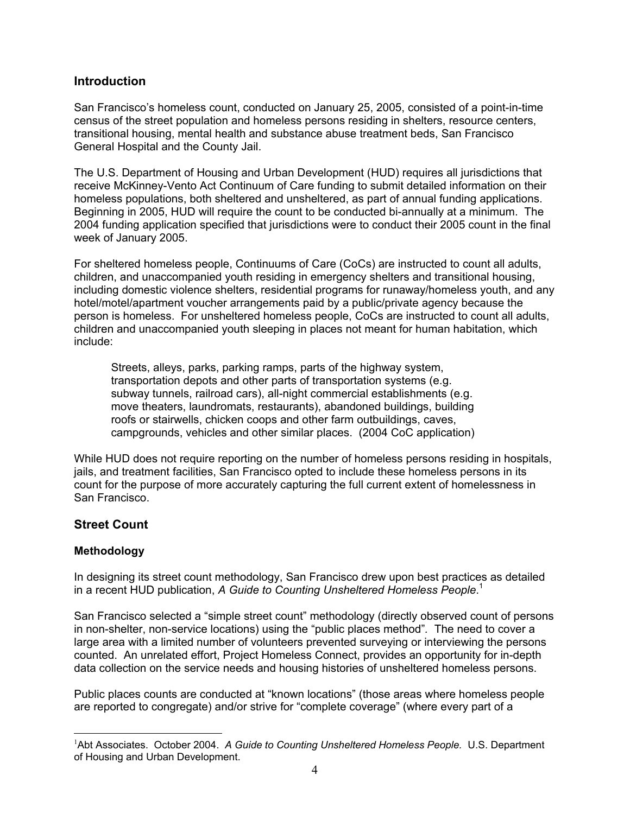### <span id="page-3-0"></span>**Introduction**

San Francisco's homeless count, conducted on January 25, 2005, consisted of a point-in-time census of the street population and homeless persons residing in shelters, resource centers, transitional housing, mental health and substance abuse treatment beds, San Francisco General Hospital and the County Jail.

The U.S. Department of Housing and Urban Development (HUD) requires all jurisdictions that receive McKinney-Vento Act Continuum of Care funding to submit detailed information on their homeless populations, both sheltered and unsheltered, as part of annual funding applications. Beginning in 2005, HUD will require the count to be conducted bi-annually at a minimum. The 2004 funding application specified that jurisdictions were to conduct their 2005 count in the final week of January 2005.

For sheltered homeless people, Continuums of Care (CoCs) are instructed to count all adults, children, and unaccompanied youth residing in emergency shelters and transitional housing, including domestic violence shelters, residential programs for runaway/homeless youth, and any hotel/motel/apartment voucher arrangements paid by a public/private agency because the person is homeless. For unsheltered homeless people, CoCs are instructed to count all adults, children and unaccompanied youth sleeping in places not meant for human habitation, which include:

Streets, alleys, parks, parking ramps, parts of the highway system, transportation depots and other parts of transportation systems (e.g. subway tunnels, railroad cars), all-night commercial establishments (e.g. move theaters, laundromats, restaurants), abandoned buildings, building roofs or stairwells, chicken coops and other farm outbuildings, caves, campgrounds, vehicles and other similar places. (2004 CoC application)

While HUD does not require reporting on the number of homeless persons residing in hospitals, jails, and treatment facilities, San Francisco opted to include these homeless persons in its count for the purpose of more accurately capturing the full current extent of homelessness in San Francisco.

### **Street Count**

### **Methodology**

 $\overline{a}$ 

In designing its street count methodology, San Francisco drew upon best practices as detailed in a recent HUD publication, *A Guide to Counting Unsheltered Homeless People*. [1](#page-3-1)

San Francisco selected a "simple street count" methodology (directly observed count of persons in non-shelter, non-service locations) using the "public places method"*.* The need to cover a large area with a limited number of volunteers prevented surveying or interviewing the persons counted. An unrelated effort, Project Homeless Connect, provides an opportunity for in-depth data collection on the service needs and housing histories of unsheltered homeless persons.

Public places counts are conducted at "known locations" (those areas where homeless people are reported to congregate) and/or strive for "complete coverage" (where every part of a

<span id="page-3-1"></span><sup>&</sup>lt;sup>1</sup>Abt Associates. October 2004. A Guide to Counting Unsheltered Homeless People. U.S. Department of Housing and Urban Development.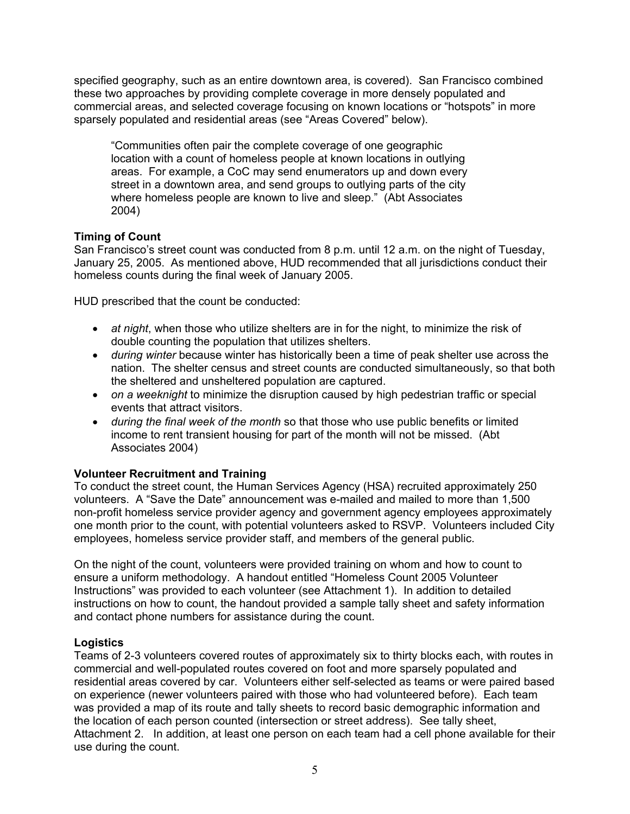<span id="page-4-0"></span>specified geography, such as an entire downtown area, is covered). San Francisco combined these two approaches by providing complete coverage in more densely populated and commercial areas, and selected coverage focusing on known locations or "hotspots" in more sparsely populated and residential areas (see "Areas Covered" below).

"Communities often pair the complete coverage of one geographic location with a count of homeless people at known locations in outlying areas. For example, a CoC may send enumerators up and down every street in a downtown area, and send groups to outlying parts of the city where homeless people are known to live and sleep." (Abt Associates 2004)

### **Timing of Count**

San Francisco's street count was conducted from 8 p.m. until 12 a.m. on the night of Tuesday, January 25, 2005. As mentioned above, HUD recommended that all jurisdictions conduct their homeless counts during the final week of January 2005.

HUD prescribed that the count be conducted:

- *at night*, when those who utilize shelters are in for the night, to minimize the risk of double counting the population that utilizes shelters.
- *during winter* because winter has historically been a time of peak shelter use across the nation. The shelter census and street counts are conducted simultaneously, so that both the sheltered and unsheltered population are captured.
- *on a weeknight* to minimize the disruption caused by high pedestrian traffic or special events that attract visitors.
- *during the final week of the month* so that those who use public benefits or limited income to rent transient housing for part of the month will not be missed. (Abt Associates 2004)

### **Volunteer Recruitment and Training**

To conduct the street count, the Human Services Agency (HSA) recruited approximately 250 volunteers. A "Save the Date" announcement was e-mailed and mailed to more than 1,500 non-profit homeless service provider agency and government agency employees approximately one month prior to the count, with potential volunteers asked to RSVP. Volunteers included City employees, homeless service provider staff, and members of the general public.

On the night of the count, volunteers were provided training on whom and how to count to ensure a uniform methodology. A handout entitled "Homeless Count 2005 Volunteer Instructions" was provided to each volunteer (see Attachment 1). In addition to detailed instructions on how to count, the handout provided a sample tally sheet and safety information and contact phone numbers for assistance during the count.

### **Logistics**

Teams of 2-3 volunteers covered routes of approximately six to thirty blocks each, with routes in commercial and well-populated routes covered on foot and more sparsely populated and residential areas covered by car. Volunteers either self-selected as teams or were paired based on experience (newer volunteers paired with those who had volunteered before). Each team was provided a map of its route and tally sheets to record basic demographic information and the location of each person counted (intersection or street address). See tally sheet, Attachment 2. In addition, at least one person on each team had a cell phone available for their use during the count.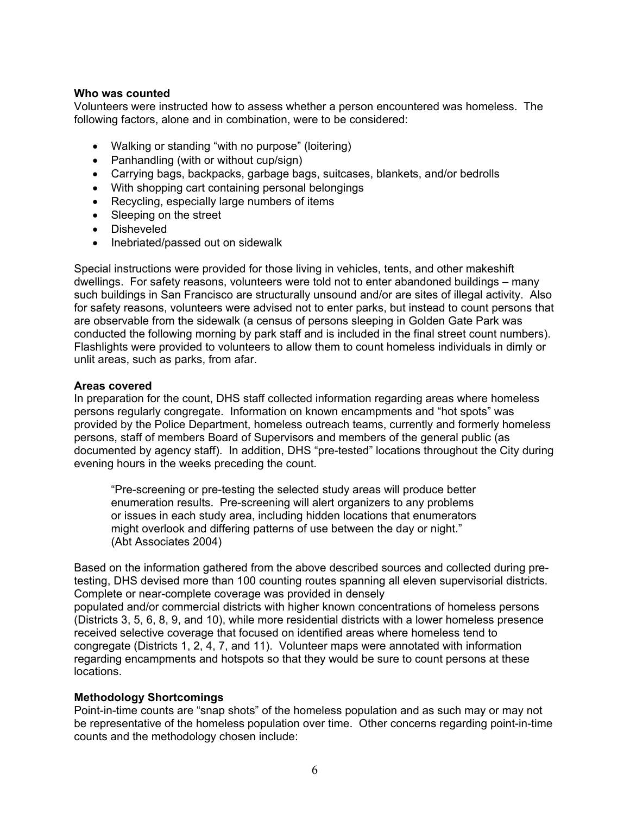#### <span id="page-5-0"></span>**Who was counted**

Volunteers were instructed how to assess whether a person encountered was homeless. The following factors, alone and in combination, were to be considered:

- Walking or standing "with no purpose" (loitering)
- Panhandling (with or without cup/sign)
- Carrying bags, backpacks, garbage bags, suitcases, blankets, and/or bedrolls
- With shopping cart containing personal belongings
- Recycling, especially large numbers of items
- Sleeping on the street
- Disheveled
- Inebriated/passed out on sidewalk

Special instructions were provided for those living in vehicles, tents, and other makeshift dwellings. For safety reasons, volunteers were told not to enter abandoned buildings – many such buildings in San Francisco are structurally unsound and/or are sites of illegal activity. Also for safety reasons, volunteers were advised not to enter parks, but instead to count persons that are observable from the sidewalk (a census of persons sleeping in Golden Gate Park was conducted the following morning by park staff and is included in the final street count numbers). Flashlights were provided to volunteers to allow them to count homeless individuals in dimly or unlit areas, such as parks, from afar.

#### **Areas covered**

In preparation for the count, DHS staff collected information regarding areas where homeless persons regularly congregate. Information on known encampments and "hot spots" was provided by the Police Department, homeless outreach teams, currently and formerly homeless persons, staff of members Board of Supervisors and members of the general public (as documented by agency staff). In addition, DHS "pre-tested" locations throughout the City during evening hours in the weeks preceding the count.

"Pre-screening or pre-testing the selected study areas will produce better enumeration results. Pre-screening will alert organizers to any problems or issues in each study area, including hidden locations that enumerators might overlook and differing patterns of use between the day or night." (Abt Associates 2004)

Based on the information gathered from the above described sources and collected during pretesting, DHS devised more than 100 counting routes spanning all eleven supervisorial districts. Complete or near-complete coverage was provided in densely populated and/or commercial districts with higher known concentrations of homeless persons (Districts 3, 5, 6, 8, 9, and 10), while more residential districts with a lower homeless presence received selective coverage that focused on identified areas where homeless tend to congregate (Districts 1, 2, 4, 7, and 11). Volunteer maps were annotated with information regarding encampments and hotspots so that they would be sure to count persons at these locations.

### **Methodology Shortcomings**

Point-in-time counts are "snap shots" of the homeless population and as such may or may not be representative of the homeless population over time. Other concerns regarding point-in-time counts and the methodology chosen include: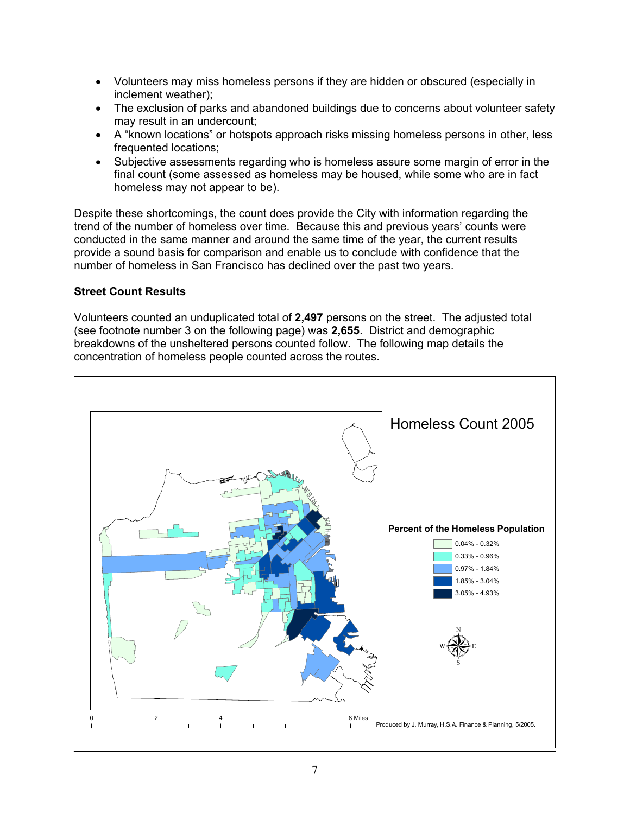- <span id="page-6-0"></span>• Volunteers may miss homeless persons if they are hidden or obscured (especially in inclement weather);
- The exclusion of parks and abandoned buildings due to concerns about volunteer safety may result in an undercount;
- A "known locations" or hotspots approach risks missing homeless persons in other, less frequented locations;
- Subjective assessments regarding who is homeless assure some margin of error in the final count (some assessed as homeless may be housed, while some who are in fact homeless may not appear to be).

Despite these shortcomings, the count does provide the City with information regarding the trend of the number of homeless over time. Because this and previous years' counts were conducted in the same manner and around the same time of the year, the current results provide a sound basis for comparison and enable us to conclude with confidence that the number of homeless in San Francisco has declined over the past two years.

### **Street Count Results**

Volunteers counted an unduplicated total of **2,497** persons on the street. The adjusted total (see footnote number 3 on the following page) was **2,655**. District and demographic breakdowns of the unsheltered persons counted follow. The following map details the concentration of homeless people counted across the routes.

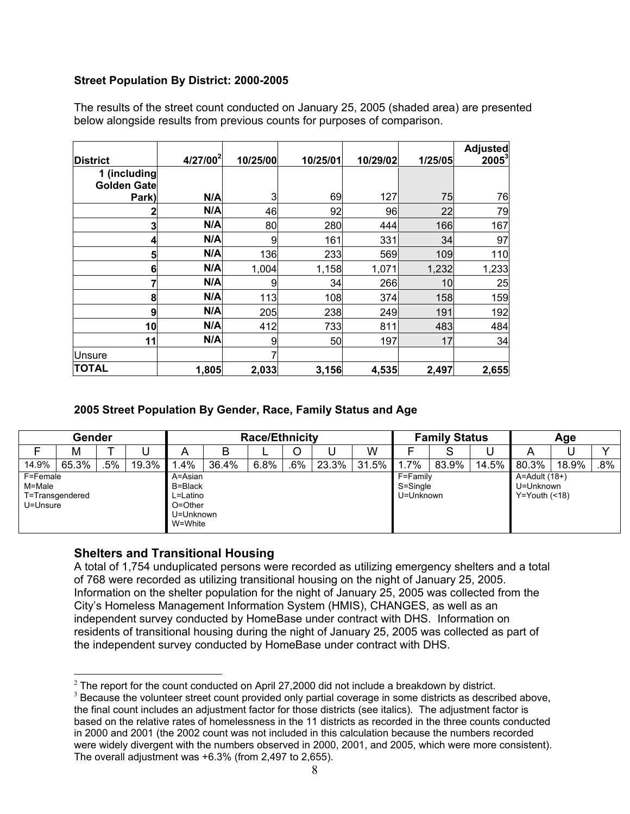### <span id="page-7-0"></span>**Street Population By District: 2000-2005**

The results of the street count conducted on January 25, 2005 (shaded area) are presented below alongside results from previous counts for purposes of comparison.

| <b>District</b>                    | 4/27/00 <sup>2</sup> | 10/25/00 | 10/25/01 | 10/29/02 | 1/25/05 | <b>Adjusted</b><br>$2005^3$ |
|------------------------------------|----------------------|----------|----------|----------|---------|-----------------------------|
| 1 (including<br><b>Golden Gate</b> |                      |          |          |          |         |                             |
| Park)                              | N/A                  | 3        | 69       | 127      | 75      | 76                          |
| 2                                  | N/A                  | 46       | 92       | 96       | 22      | 79                          |
| 3                                  | N/A                  | 80       | 280      | 444      | 166     | 167                         |
| 4                                  | N/A                  | 9        | 161      | 331      | 34      | 97                          |
| 5                                  | N/A                  | 136      | 233      | 569      | 109     | 110                         |
| 6                                  | N/A                  | 1,004    | 1,158    | 1,071    | 1,232   | 1,233                       |
|                                    | N/A                  | 9        | 34       | 266      | 10      | 25                          |
| 8                                  | N/A                  | 113      | 108      | 374      | 158     | 159                         |
| 9                                  | N/A                  | 205      | 238      | 249      | 191     | 192                         |
| 10                                 | N/A                  | 412      | 733      | 811      | 483     | 484                         |
| 11                                 | N/A                  | 9        | 50       | 197      | 17      | 34                          |
| <b>Unsure</b>                      |                      |          |          |          |         |                             |
| <b>TOTAL</b>                       | 1,805                | 2,033    | 3,156    | 4,535    | 2,497   | 2,655                       |

### **2005 Street Population By Gender, Race, Family Status and Age**

|          | Gender          |     |       |           |       | <b>Race/Ethnicity</b> |        |       |       |           | <b>Family Status</b> |       | Age               |       |        |  |
|----------|-----------------|-----|-------|-----------|-------|-----------------------|--------|-------|-------|-----------|----------------------|-------|-------------------|-------|--------|--|
|          | М               |     | u     | Α         | B     |                       | O      |       | W     |           | C                    |       | A                 |       |        |  |
| 14.9%    | 65.3%           | .5% | 19.3% | .4%       | 36.4% | 6.8%                  | $.6\%$ | 23.3% | 31.5% | $.7\%$    | 83.9%                | 14.5% | 80.3%             | 18.9% | $.8\%$ |  |
| F=Female |                 |     |       | A=Asian   |       |                       |        |       |       | F=Family  |                      |       | $A =$ Adult (18+) |       |        |  |
| M=Male   |                 |     |       | B=Black   |       |                       |        |       |       | S=Single  |                      |       | U=Unknown         |       |        |  |
|          | T=Transgendered |     |       | L=Latino  |       |                       |        |       |       | U=Unknown |                      |       | $Y = Youth$ (<18) |       |        |  |
| U=Unsure |                 |     |       | O=Other   |       |                       |        |       |       |           |                      |       |                   |       |        |  |
|          |                 |     |       | U=Unknown |       |                       |        |       |       |           |                      |       |                   |       |        |  |
|          |                 |     |       | W=White   |       |                       |        |       |       |           |                      |       |                   |       |        |  |

### **Shelters and Transitional Housing**

 $\overline{a}$ 

A total of 1,754 unduplicated persons were recorded as utilizing emergency shelters and a total of 768 were recorded as utilizing transitional housing on the night of January 25, 2005. Information on the shelter population for the night of January 25, 2005 was collected from the City's Homeless Management Information System (HMIS), CHANGES, as well as an independent survey conducted by HomeBase under contract with DHS. Information on residents of transitional housing during the night of January 25, 2005 was collected as part of the independent survey conducted by HomeBase under contract with DHS.

<span id="page-7-1"></span> $2$  The report for the count conducted on April 27,2000 did not include a breakdown by district.

<span id="page-7-2"></span> $3$  Because the volunteer street count provided only partial coverage in some districts as described above, the final count includes an adjustment factor for those districts (see italics). The adjustment factor is based on the relative rates of homelessness in the 11 districts as recorded in the three counts conducted in 2000 and 2001 (the 2002 count was not included in this calculation because the numbers recorded were widely divergent with the numbers observed in 2000, 2001, and 2005, which were more consistent). The overall adjustment was +6.3% (from 2,497 to 2,655).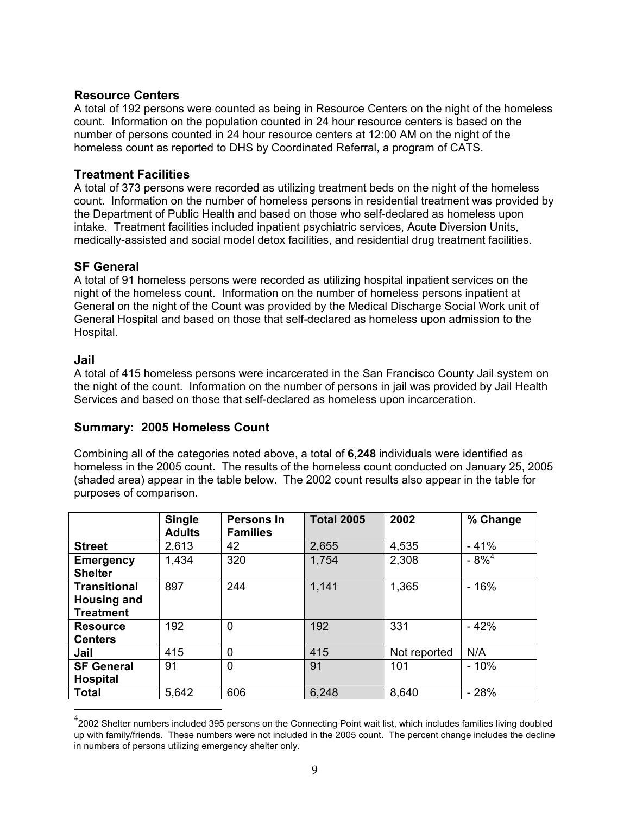### <span id="page-8-0"></span>**Resource Centers**

A total of 192 persons were counted as being in Resource Centers on the night of the homeless count. Information on the population counted in 24 hour resource centers is based on the number of persons counted in 24 hour resource centers at 12:00 AM on the night of the homeless count as reported to DHS by Coordinated Referral, a program of CATS.

### **Treatment Facilities**

A total of 373 persons were recorded as utilizing treatment beds on the night of the homeless count. Information on the number of homeless persons in residential treatment was provided by the Department of Public Health and based on those who self-declared as homeless upon intake. Treatment facilities included inpatient psychiatric services, Acute Diversion Units, medically-assisted and social model detox facilities, and residential drug treatment facilities.

### **SF General**

A total of 91 homeless persons were recorded as utilizing hospital inpatient services on the night of the homeless count. Information on the number of homeless persons inpatient at General on the night of the Count was provided by the Medical Discharge Social Work unit of General Hospital and based on those that self-declared as homeless upon admission to the Hospital.

### **Jail**

 $\overline{a}$ 

A total of 415 homeless persons were incarcerated in the San Francisco County Jail system on the night of the count. Information on the number of persons in jail was provided by Jail Health Services and based on those that self-declared as homeless upon incarceration.

### **Summary: 2005 Homeless Count**

Combining all of the categories noted above, a total of **6,248** individuals were identified as homeless in the 2005 count. The results of the homeless count conducted on January 25, 2005 (shaded area) appear in the table below. The 2002 count results also appear in the table for purposes of comparison.

|                                                               | <b>Single</b><br><b>Adults</b> | Persons In<br><b>Families</b> | <b>Total 2005</b> | 2002         | % Change   |
|---------------------------------------------------------------|--------------------------------|-------------------------------|-------------------|--------------|------------|
| <b>Street</b>                                                 | 2,613                          | 42                            | 2,655             | 4,535        | $-41%$     |
| <b>Emergency</b><br><b>Shelter</b>                            | 1,434                          | 320                           | 1,754             | 2,308        | $-8\%^{4}$ |
| <b>Transitional</b><br><b>Housing and</b><br><b>Treatment</b> | 897                            | 244                           | 1,141             | 1,365        | $-16%$     |
| <b>Resource</b><br><b>Centers</b>                             | 192                            | 0                             | 192               | 331          | $-42%$     |
| Jail                                                          | 415                            | $\Omega$                      | 415               | Not reported | N/A        |
| <b>SF General</b><br><b>Hospital</b>                          | 91                             | $\Omega$                      | 91                | 101          | $-10%$     |
| <b>Total</b>                                                  | 5,642                          | 606                           | 6,248             | 8,640        | $-28%$     |

<span id="page-8-1"></span> $^4$ 2002 Shelter numbers included 395 persons on the Connecting Point wait list, which includes families living doubled up with family/friends. These numbers were not included in the 2005 count. The percent change includes the decline in numbers of persons utilizing emergency shelter only.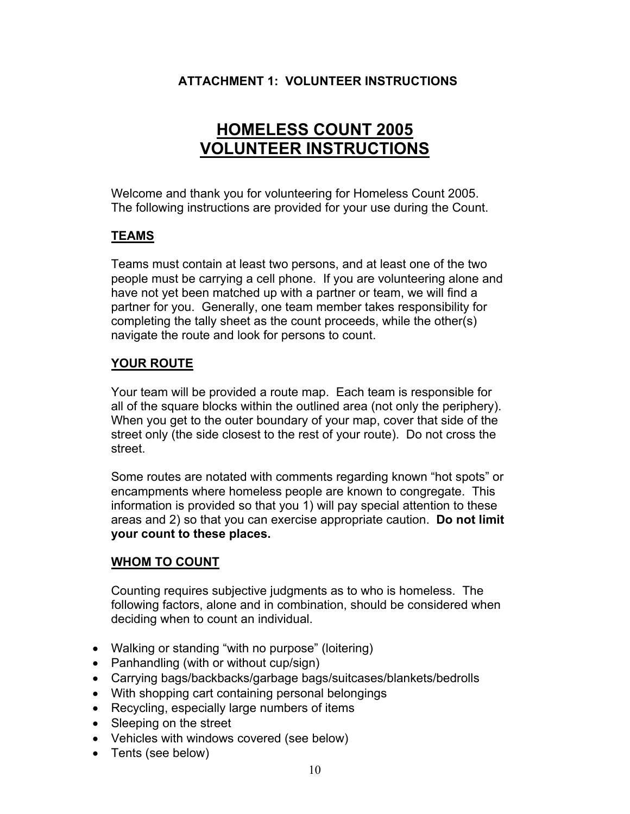# <span id="page-9-0"></span> **ATTACHMENT 1: VOLUNTEER INSTRUCTIONS**

# **HOMELESS COUNT 2005 VOLUNTEER INSTRUCTIONS**

Welcome and thank you for volunteering for Homeless Count 2005. The following instructions are provided for your use during the Count.

# **TEAMS**

Teams must contain at least two persons, and at least one of the two people must be carrying a cell phone. If you are volunteering alone and have not yet been matched up with a partner or team, we will find a partner for you. Generally, one team member takes responsibility for completing the tally sheet as the count proceeds, while the other(s) navigate the route and look for persons to count.

# **YOUR ROUTE**

Your team will be provided a route map. Each team is responsible for all of the square blocks within the outlined area (not only the periphery). When you get to the outer boundary of your map, cover that side of the street only (the side closest to the rest of your route). Do not cross the street.

Some routes are notated with comments regarding known "hot spots" or encampments where homeless people are known to congregate. This information is provided so that you 1) will pay special attention to these areas and 2) so that you can exercise appropriate caution. **Do not limit your count to these places.**

### **WHOM TO COUNT**

Counting requires subjective judgments as to who is homeless. The following factors, alone and in combination, should be considered when deciding when to count an individual.

- Walking or standing "with no purpose" (loitering)
- Panhandling (with or without cup/sign)
- Carrying bags/backbacks/garbage bags/suitcases/blankets/bedrolls
- With shopping cart containing personal belongings
- Recycling, especially large numbers of items
- Sleeping on the street
- Vehicles with windows covered (see below)
- Tents (see below)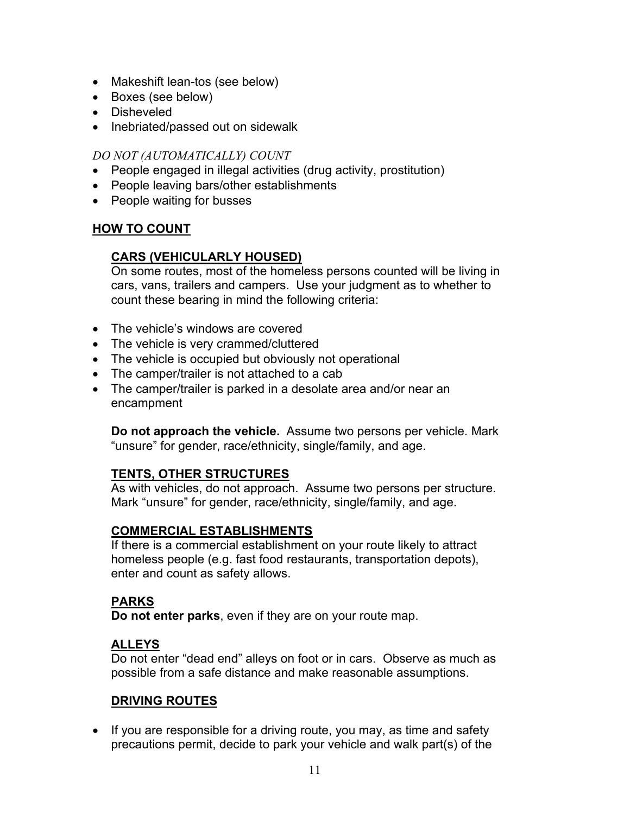- Makeshift lean-tos (see below)
- Boxes (see below)
- Disheveled
- Inebriated/passed out on sidewalk

### *DO NOT (AUTOMATICALLY) COUNT*

- People engaged in illegal activities (drug activity, prostitution)
- People leaving bars/other establishments
- People waiting for busses

# **HOW TO COUNT**

# **CARS (VEHICULARLY HOUSED)**

On some routes, most of the homeless persons counted will be living in cars, vans, trailers and campers. Use your judgment as to whether to count these bearing in mind the following criteria:

- The vehicle's windows are covered
- The vehicle is very crammed/cluttered
- The vehicle is occupied but obviously not operational
- The camper/trailer is not attached to a cab
- The camper/trailer is parked in a desolate area and/or near an encampment

**Do not approach the vehicle.** Assume two persons per vehicle. Mark "unsure" for gender, race/ethnicity, single/family, and age.

# **TENTS, OTHER STRUCTURES**

As with vehicles, do not approach. Assume two persons per structure. Mark "unsure" for gender, race/ethnicity, single/family, and age.

### **COMMERCIAL ESTABLISHMENTS**

If there is a commercial establishment on your route likely to attract homeless people (e.g. fast food restaurants, transportation depots), enter and count as safety allows.

# **PARKS**

**Do not enter parks**, even if they are on your route map.

# **ALLEYS**

Do not enter "dead end" alleys on foot or in cars. Observe as much as possible from a safe distance and make reasonable assumptions.

# **DRIVING ROUTES**

• If you are responsible for a driving route, you may, as time and safety precautions permit, decide to park your vehicle and walk part(s) of the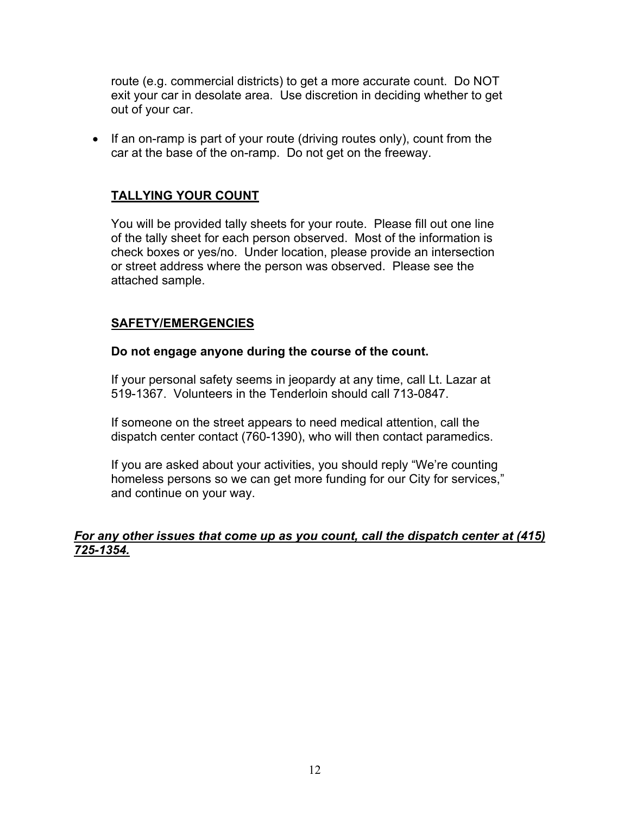route (e.g. commercial districts) to get a more accurate count. Do NOT exit your car in desolate area. Use discretion in deciding whether to get out of your car.

• If an on-ramp is part of your route (driving routes only), count from the car at the base of the on-ramp. Do not get on the freeway.

### **TALLYING YOUR COUNT**

You will be provided tally sheets for your route. Please fill out one line of the tally sheet for each person observed. Most of the information is check boxes or yes/no. Under location, please provide an intersection or street address where the person was observed. Please see the attached sample.

### **SAFETY/EMERGENCIES**

### **Do not engage anyone during the course of the count.**

If your personal safety seems in jeopardy at any time, call Lt. Lazar at 519-1367. Volunteers in the Tenderloin should call 713-0847.

If someone on the street appears to need medical attention, call the dispatch center contact (760-1390), who will then contact paramedics.

If you are asked about your activities, you should reply "We're counting homeless persons so we can get more funding for our City for services," and continue on your way.

### *For any other issues that come up as you count, call the dispatch center at (415) 725-1354.*